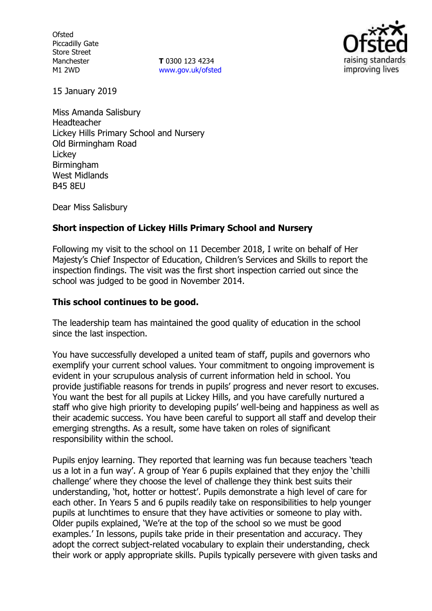**Ofsted** Piccadilly Gate Store Street Manchester M1 2WD

**T** 0300 123 4234 www.gov.uk/ofsted



15 January 2019

Miss Amanda Salisbury Headteacher Lickey Hills Primary School and Nursery Old Birmingham Road **Lickey** Birmingham West Midlands B45 8EU

Dear Miss Salisbury

## **Short inspection of Lickey Hills Primary School and Nursery**

Following my visit to the school on 11 December 2018, I write on behalf of Her Majesty's Chief Inspector of Education, Children's Services and Skills to report the inspection findings. The visit was the first short inspection carried out since the school was judged to be good in November 2014.

#### **This school continues to be good.**

The leadership team has maintained the good quality of education in the school since the last inspection.

You have successfully developed a united team of staff, pupils and governors who exemplify your current school values. Your commitment to ongoing improvement is evident in your scrupulous analysis of current information held in school. You provide justifiable reasons for trends in pupils' progress and never resort to excuses. You want the best for all pupils at Lickey Hills, and you have carefully nurtured a staff who give high priority to developing pupils' well-being and happiness as well as their academic success. You have been careful to support all staff and develop their emerging strengths. As a result, some have taken on roles of significant responsibility within the school.

Pupils enjoy learning. They reported that learning was fun because teachers 'teach us a lot in a fun way'. A group of Year 6 pupils explained that they enjoy the 'chilli challenge' where they choose the level of challenge they think best suits their understanding, 'hot, hotter or hottest'. Pupils demonstrate a high level of care for each other. In Years 5 and 6 pupils readily take on responsibilities to help younger pupils at lunchtimes to ensure that they have activities or someone to play with. Older pupils explained, 'We're at the top of the school so we must be good examples.' In lessons, pupils take pride in their presentation and accuracy. They adopt the correct subject-related vocabulary to explain their understanding, check their work or apply appropriate skills. Pupils typically persevere with given tasks and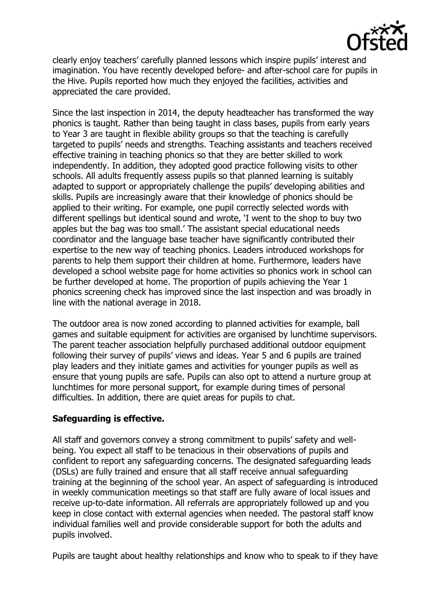

clearly enjoy teachers' carefully planned lessons which inspire pupils' interest and imagination. You have recently developed before- and after-school care for pupils in the Hive. Pupils reported how much they enjoyed the facilities, activities and appreciated the care provided.

Since the last inspection in 2014, the deputy headteacher has transformed the way phonics is taught. Rather than being taught in class bases, pupils from early years to Year 3 are taught in flexible ability groups so that the teaching is carefully targeted to pupils' needs and strengths. Teaching assistants and teachers received effective training in teaching phonics so that they are better skilled to work independently. In addition, they adopted good practice following visits to other schools. All adults frequently assess pupils so that planned learning is suitably adapted to support or appropriately challenge the pupils' developing abilities and skills. Pupils are increasingly aware that their knowledge of phonics should be applied to their writing. For example, one pupil correctly selected words with different spellings but identical sound and wrote, 'I went to the shop to buy two apples but the bag was too small.' The assistant special educational needs coordinator and the language base teacher have significantly contributed their expertise to the new way of teaching phonics. Leaders introduced workshops for parents to help them support their children at home. Furthermore, leaders have developed a school website page for home activities so phonics work in school can be further developed at home. The proportion of pupils achieving the Year 1 phonics screening check has improved since the last inspection and was broadly in line with the national average in 2018.

The outdoor area is now zoned according to planned activities for example, ball games and suitable equipment for activities are organised by lunchtime supervisors. The parent teacher association helpfully purchased additional outdoor equipment following their survey of pupils' views and ideas. Year 5 and 6 pupils are trained play leaders and they initiate games and activities for younger pupils as well as ensure that young pupils are safe. Pupils can also opt to attend a nurture group at lunchtimes for more personal support, for example during times of personal difficulties. In addition, there are quiet areas for pupils to chat.

# **Safeguarding is effective.**

All staff and governors convey a strong commitment to pupils' safety and wellbeing. You expect all staff to be tenacious in their observations of pupils and confident to report any safeguarding concerns. The designated safeguarding leads (DSLs) are fully trained and ensure that all staff receive annual safeguarding training at the beginning of the school year. An aspect of safeguarding is introduced in weekly communication meetings so that staff are fully aware of local issues and receive up-to-date information. All referrals are appropriately followed up and you keep in close contact with external agencies when needed. The pastoral staff know individual families well and provide considerable support for both the adults and pupils involved.

Pupils are taught about healthy relationships and know who to speak to if they have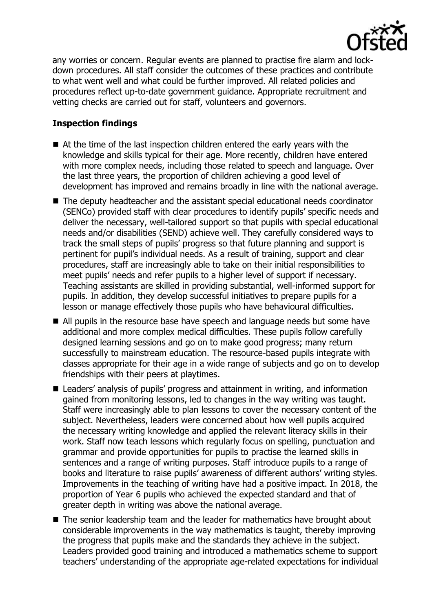

any worries or concern. Regular events are planned to practise fire alarm and lockdown procedures. All staff consider the outcomes of these practices and contribute to what went well and what could be further improved. All related policies and procedures reflect up-to-date government guidance. Appropriate recruitment and vetting checks are carried out for staff, volunteers and governors.

# **Inspection findings**

- At the time of the last inspection children entered the early years with the knowledge and skills typical for their age. More recently, children have entered with more complex needs, including those related to speech and language. Over the last three years, the proportion of children achieving a good level of development has improved and remains broadly in line with the national average.
- The deputy headteacher and the assistant special educational needs coordinator (SENCo) provided staff with clear procedures to identify pupils' specific needs and deliver the necessary, well-tailored support so that pupils with special educational needs and/or disabilities (SEND) achieve well. They carefully considered ways to track the small steps of pupils' progress so that future planning and support is pertinent for pupil's individual needs. As a result of training, support and clear procedures, staff are increasingly able to take on their initial responsibilities to meet pupils' needs and refer pupils to a higher level of support if necessary. Teaching assistants are skilled in providing substantial, well-informed support for pupils. In addition, they develop successful initiatives to prepare pupils for a lesson or manage effectively those pupils who have behavioural difficulties.
- All pupils in the resource base have speech and language needs but some have additional and more complex medical difficulties. These pupils follow carefully designed learning sessions and go on to make good progress; many return successfully to mainstream education. The resource-based pupils integrate with classes appropriate for their age in a wide range of subjects and go on to develop friendships with their peers at playtimes.
- Leaders' analysis of pupils' progress and attainment in writing, and information gained from monitoring lessons, led to changes in the way writing was taught. Staff were increasingly able to plan lessons to cover the necessary content of the subject. Nevertheless, leaders were concerned about how well pupils acquired the necessary writing knowledge and applied the relevant literacy skills in their work. Staff now teach lessons which regularly focus on spelling, punctuation and grammar and provide opportunities for pupils to practise the learned skills in sentences and a range of writing purposes. Staff introduce pupils to a range of books and literature to raise pupils' awareness of different authors' writing styles. Improvements in the teaching of writing have had a positive impact. In 2018, the proportion of Year 6 pupils who achieved the expected standard and that of greater depth in writing was above the national average.
- The senior leadership team and the leader for mathematics have brought about considerable improvements in the way mathematics is taught, thereby improving the progress that pupils make and the standards they achieve in the subject. Leaders provided good training and introduced a mathematics scheme to support teachers' understanding of the appropriate age-related expectations for individual